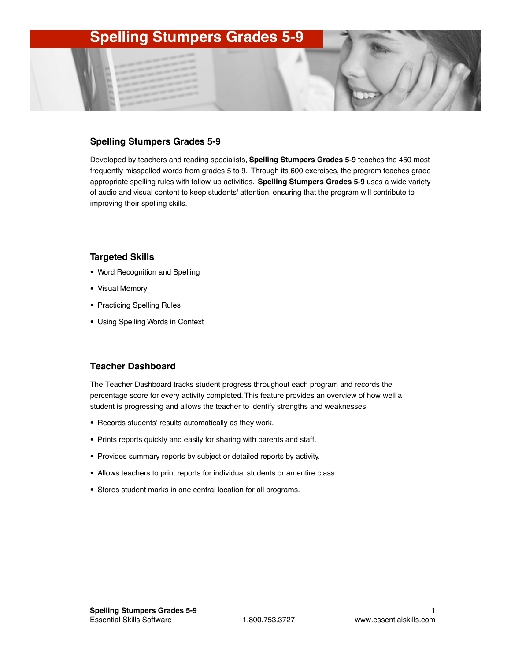#### **Spelling Stumpers Grades 5-9**

Developed by teachers and reading specialists, **Spelling Stumpers Grades 5-9** teaches the 450 most frequently misspelled words from grades 5 to 9. Through its 600 exercises, the program teaches gradeappropriate spelling rules with follow-up activities. **Spelling Stumpers Grades 5-9** uses a wide variety of audio and visual content to keep students' attention, ensuring that the program will contribute to improving their spelling skills.

#### **Targeted Skills**

- Word Recognition and Spelling
- Visual Memory
- Practicing Spelling Rules
- Using Spelling Words in Context

#### **Teacher Dashboard**

The Teacher Dashboard tracks student progress throughout each program and records the percentage score for every activity completed. This feature provides an overview of how well a student is progressing and allows the teacher to identify strengths and weaknesses.

- Records students' results automatically as they work.
- Prints reports quickly and easily for sharing with parents and staff.
- Provides summary reports by subject or detailed reports by activity.
- Allows teachers to print reports for individual students or an entire class.
- Stores student marks in one central location for all programs.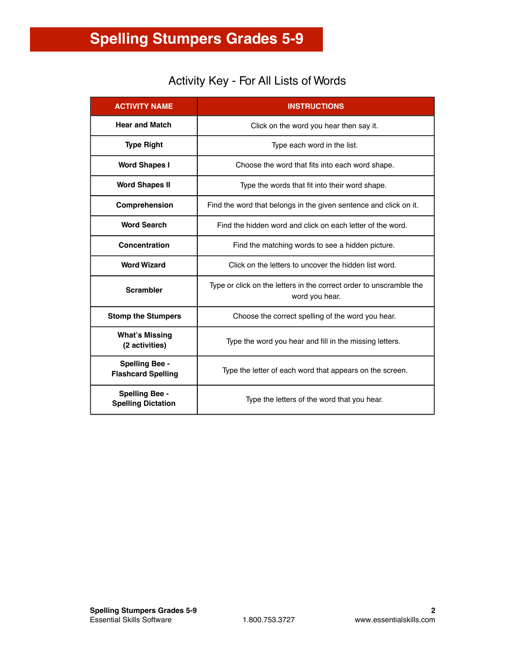### Activity Key - For All Lists of Words

| <b>ACTIVITY NAME</b>                               | <b>INSTRUCTIONS</b>                                                                   |
|----------------------------------------------------|---------------------------------------------------------------------------------------|
| <b>Hear and Match</b>                              | Click on the word you hear then say it.                                               |
| <b>Type Right</b>                                  | Type each word in the list.                                                           |
| <b>Word Shapes I</b>                               | Choose the word that fits into each word shape.                                       |
| <b>Word Shapes II</b>                              | Type the words that fit into their word shape.                                        |
| Comprehension                                      | Find the word that belongs in the given sentence and click on it.                     |
| <b>Word Search</b>                                 | Find the hidden word and click on each letter of the word.                            |
| Concentration                                      | Find the matching words to see a hidden picture.                                      |
| <b>Word Wizard</b>                                 | Click on the letters to uncover the hidden list word.                                 |
| <b>Scrambler</b>                                   | Type or click on the letters in the correct order to unscramble the<br>word you hear. |
| <b>Stomp the Stumpers</b>                          | Choose the correct spelling of the word you hear.                                     |
| <b>What's Missing</b><br>(2 activities)            | Type the word you hear and fill in the missing letters.                               |
| <b>Spelling Bee -</b><br><b>Flashcard Spelling</b> | Type the letter of each word that appears on the screen.                              |
| <b>Spelling Bee -</b><br><b>Spelling Dictation</b> | Type the letters of the word that you hear.                                           |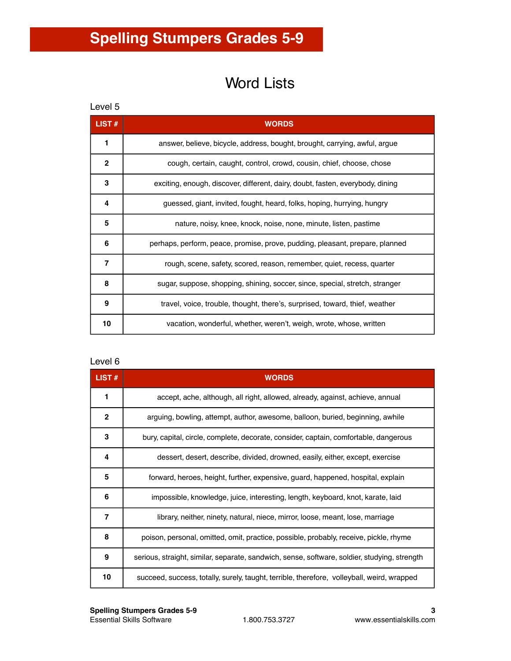### Word Lists

| Level 5       |                                                                                |
|---------------|--------------------------------------------------------------------------------|
| <b>LIST #</b> | <b>WORDS</b>                                                                   |
| 1             | answer, believe, bicycle, address, bought, brought, carrying, awful, argue     |
| $\mathbf{2}$  | cough, certain, caught, control, crowd, cousin, chief, choose, chose           |
| 3             | exciting, enough, discover, different, dairy, doubt, fasten, everybody, dining |
| 4             | guessed, giant, invited, fought, heard, folks, hoping, hurrying, hungry        |
| 5             | nature, noisy, knee, knock, noise, none, minute, listen, pastime               |
| 6             | perhaps, perform, peace, promise, prove, pudding, pleasant, prepare, planned   |
| 7             | rough, scene, safety, scored, reason, remember, quiet, recess, quarter         |
| 8             | sugar, suppose, shopping, shining, soccer, since, special, stretch, stranger   |
| 9             | travel, voice, trouble, thought, there's, surprised, toward, thief, weather    |
| 10            | vacation, wonderful, whether, weren't, weigh, wrote, whose, written            |

#### Level 6

| <b>LIST <math>#</math></b> | <b>WORDS</b>                                                                                 |
|----------------------------|----------------------------------------------------------------------------------------------|
| 1                          | accept, ache, although, all right, allowed, already, against, achieve, annual                |
| $\overline{2}$             | arguing, bowling, attempt, author, awesome, balloon, buried, beginning, awhile               |
| 3                          | bury, capital, circle, complete, decorate, consider, captain, comfortable, dangerous         |
| 4                          | dessert, desert, describe, divided, drowned, easily, either, except, exercise                |
| 5                          | forward, heroes, height, further, expensive, guard, happened, hospital, explain              |
| 6                          | impossible, knowledge, juice, interesting, length, keyboard, knot, karate, laid              |
| 7                          | library, neither, ninety, natural, niece, mirror, loose, meant, lose, marriage               |
| 8                          | poison, personal, omitted, omit, practice, possible, probably, receive, pickle, rhyme        |
| 9                          | serious, straight, similar, separate, sandwich, sense, software, soldier, studying, strength |
| 10                         | succeed, success, totally, surely, taught, terrible, therefore, volleyball, weird, wrapped   |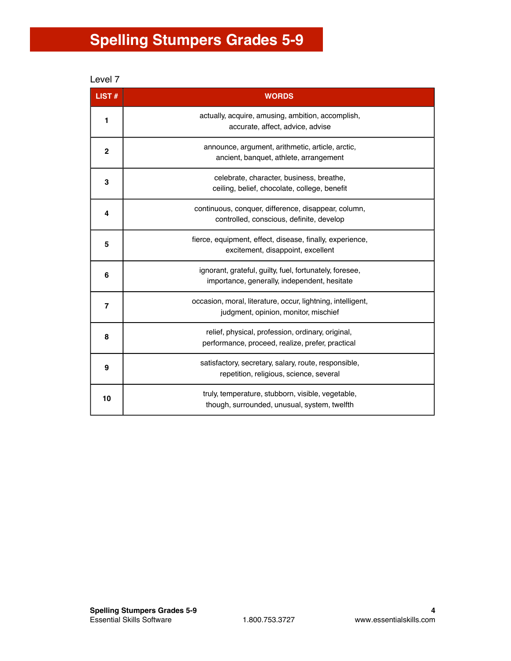| ı<br>:ve<br>. .<br>-<br>. . |  |
|-----------------------------|--|
|-----------------------------|--|

| <b>LIST#</b> | <b>WORDS</b>                                                                                            |
|--------------|---------------------------------------------------------------------------------------------------------|
| 1            | actually, acquire, amusing, ambition, accomplish,<br>accurate, affect, advice, advise                   |
| $\mathbf{2}$ | announce, argument, arithmetic, article, arctic,<br>ancient, banquet, athlete, arrangement              |
| 3            | celebrate, character, business, breathe,<br>ceiling, belief, chocolate, college, benefit                |
| 4            | continuous, conquer, difference, disappear, column,<br>controlled, conscious, definite, develop         |
| 5            | fierce, equipment, effect, disease, finally, experience,<br>excitement, disappoint, excellent           |
| 6            | ignorant, grateful, guilty, fuel, fortunately, foresee,<br>importance, generally, independent, hesitate |
| 7            | occasion, moral, literature, occur, lightning, intelligent,<br>judgment, opinion, monitor, mischief     |
| 8            | relief, physical, profession, ordinary, original,<br>performance, proceed, realize, prefer, practical   |
| 9            | satisfactory, secretary, salary, route, responsible,<br>repetition, religious, science, several         |
| 10           | truly, temperature, stubborn, visible, vegetable,<br>though, surrounded, unusual, system, twelfth       |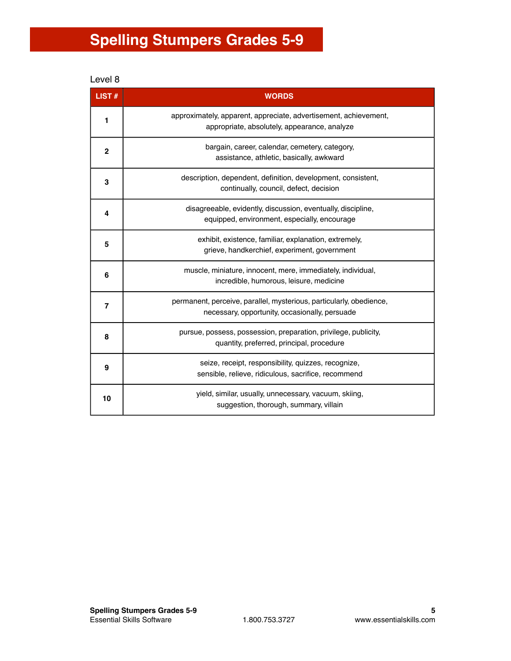Level 8

| <b>LIST#</b>   | <b>WORDS</b>                                                                                                          |
|----------------|-----------------------------------------------------------------------------------------------------------------------|
| 1              | approximately, apparent, appreciate, advertisement, achievement,<br>appropriate, absolutely, appearance, analyze      |
| $\overline{2}$ | bargain, career, calendar, cemetery, category,<br>assistance, athletic, basically, awkward                            |
| 3              | description, dependent, definition, development, consistent,<br>continually, council, defect, decision                |
| 4              | disagreeable, evidently, discussion, eventually, discipline,<br>equipped, environment, especially, encourage          |
| 5              | exhibit, existence, familiar, explanation, extremely,<br>grieve, handkerchief, experiment, government                 |
| 6              | muscle, miniature, innocent, mere, immediately, individual,<br>incredible, humorous, leisure, medicine                |
| 7              | permanent, perceive, parallel, mysterious, particularly, obedience,<br>necessary, opportunity, occasionally, persuade |
| 8              | pursue, possess, possession, preparation, privilege, publicity,<br>quantity, preferred, principal, procedure          |
| 9              | seize, receipt, responsibility, quizzes, recognize,<br>sensible, relieve, ridiculous, sacrifice, recommend            |
| 10             | yield, similar, usually, unnecessary, vacuum, skiing,<br>suggestion, thorough, summary, villain                       |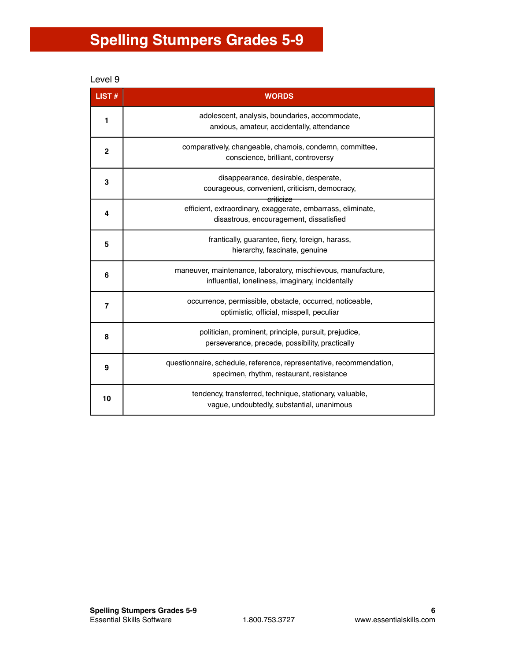Level 9

| LIST#        | <b>WORDS</b>                                                                                                     |
|--------------|------------------------------------------------------------------------------------------------------------------|
| 1            | adolescent, analysis, boundaries, accommodate,<br>anxious, amateur, accidentally, attendance                     |
| $\mathbf{2}$ | comparatively, changeable, chamois, condemn, committee,<br>conscience, brilliant, controversy                    |
| 3            | disappearance, desirable, desperate,<br>courageous, convenient, criticism, democracy,<br><del>criticize</del>    |
| 4            | efficient, extraordinary, exaggerate, embarrass, eliminate,<br>disastrous, encouragement, dissatisfied           |
| 5            | frantically, guarantee, fiery, foreign, harass,<br>hierarchy, fascinate, genuine                                 |
| 6            | maneuver, maintenance, laboratory, mischievous, manufacture,<br>influential, loneliness, imaginary, incidentally |
| 7            | occurrence, permissible, obstacle, occurred, noticeable,<br>optimistic, official, misspell, peculiar             |
| 8            | politician, prominent, principle, pursuit, prejudice,<br>perseverance, precede, possibility, practically         |
| 9            | questionnaire, schedule, reference, representative, recommendation,<br>specimen, rhythm, restaurant, resistance  |
| 10           | tendency, transferred, technique, stationary, valuable,<br>vague, undoubtedly, substantial, unanimous            |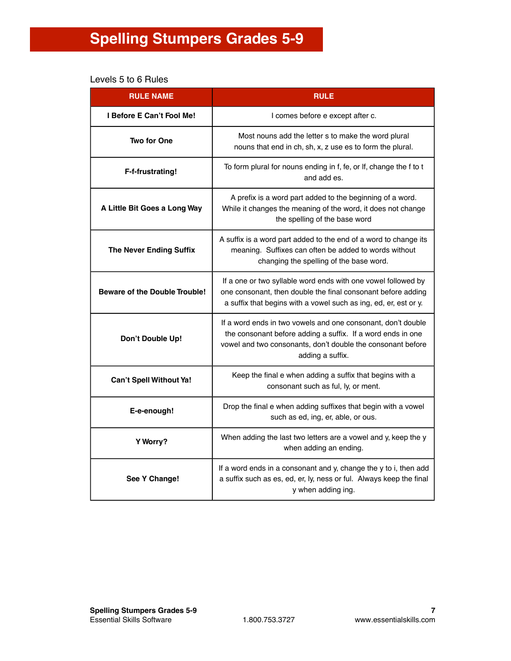### Levels 5 to 6 Rules

| <b>RULE NAME</b>                     | <b>RULE</b>                                                                                                                                                                                                    |
|--------------------------------------|----------------------------------------------------------------------------------------------------------------------------------------------------------------------------------------------------------------|
| I Before E Can't Fool Me!            | I comes before e except after c.                                                                                                                                                                               |
| Two for One                          | Most nouns add the letter s to make the word plural<br>nouns that end in ch, sh, x, z use es to form the plural.                                                                                               |
| F-f-frustrating!                     | To form plural for nouns ending in f, fe, or If, change the f to t<br>and add es.                                                                                                                              |
| A Little Bit Goes a Long Way         | A prefix is a word part added to the beginning of a word.<br>While it changes the meaning of the word, it does not change<br>the spelling of the base word                                                     |
| <b>The Never Ending Suffix</b>       | A suffix is a word part added to the end of a word to change its<br>meaning. Suffixes can often be added to words without<br>changing the spelling of the base word.                                           |
| <b>Beware of the Double Trouble!</b> | If a one or two syllable word ends with one vowel followed by<br>one consonant, then double the final consonant before adding<br>a suffix that begins with a vowel such as ing, ed, er, est or y.              |
| Don't Double Up!                     | If a word ends in two vowels and one consonant, don't double<br>the consonant before adding a suffix. If a word ends in one<br>vowel and two consonants, don't double the consonant before<br>adding a suffix. |
| Can't Spell Without Ya!              | Keep the final e when adding a suffix that begins with a<br>consonant such as ful, ly, or ment.                                                                                                                |
| E-e-enough!                          | Drop the final e when adding suffixes that begin with a vowel<br>such as ed, ing, er, able, or ous.                                                                                                            |
| Y Worry?                             | When adding the last two letters are a vowel and y, keep the y<br>when adding an ending.                                                                                                                       |
| See Y Change!                        | If a word ends in a consonant and y, change the y to i, then add<br>a suffix such as es, ed, er, ly, ness or ful. Always keep the final<br>y when adding ing.                                                  |